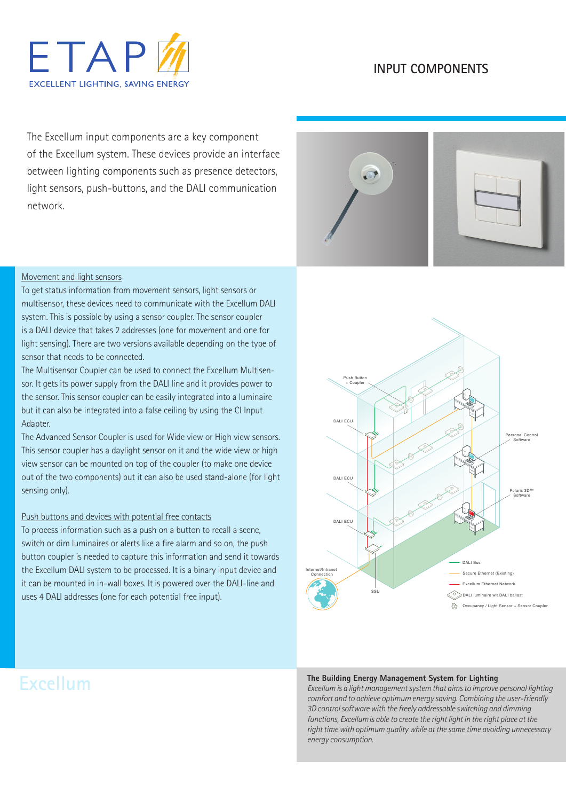# **FTAP EXCELLENT LIGHTING, SAVING ENERGY**

### **INPUT COMPONENTS**

The Excellum input components are a key component of the Excellum system. These devices provide an interface between lighting components such as presence detectors, light sensors, push-buttons, and the DALI communication network.



#### Movement and light sensors

To get status information from movement sensors, light sensors or multisensor, these devices need to communicate with the Excellum DALI system. This is possible by using a sensor coupler. The sensor coupler is a DALI device that takes 2 addresses (one for movement and one for light sensing). There are two versions available depending on the type of sensor that needs to be connected.

The Multisensor Coupler can be used to connect the Excellum Multisensor. It gets its power supply from the DALI line and it provides power to the sensor. This sensor coupler can be easily integrated into a luminaire but it can also be integrated into a false ceiling by using the CI Input Adapter.

The Advanced Sensor Coupler is used for Wide view or High view sensors. This sensor coupler has a daylight sensor on it and the wide view or high view sensor can be mounted on top of the coupler (to make one device out of the two components) but it can also be used stand-alone (for light sensing only).

#### Push buttons and devices with potential free contacts

To process information such as a push on a button to recall a scene, switch or dim luminaires or alerts like a fire alarm and so on, the push button coupler is needed to capture this information and send it towards the Excellum DALI system to be processed. It is a binary input device and it can be mounted in in-wall boxes. It is powered over the DALI-line and uses 4 DALI addresses (one for each potential free input).

## Excellum Ethernet Network DALI ECU DALL FCL Secure Ethernet (Existing) DALI Bus SSU Push Button + Coupler Polaris 3D™ Software Personal Control<br>
Software Internet/Intranet Connection  $\widehat{\diamond}$  DALI luminaire wit DALI ballast Occupancy / Light Sensor + Sensor Couple DALI ECU

#### **The Building Energy Management System for Lighting**

*Excellum is a light management system that aims to improve personal lighting comfort and to achieve optimum energy saving. Combining the user-friendly 3D control software with the freely addressable switching and dimming functions, Excellumis able to create the right light in the right place at the right time with optimum quality while at the same time avoiding unnecessary energy consumption.*

## **Excellum**